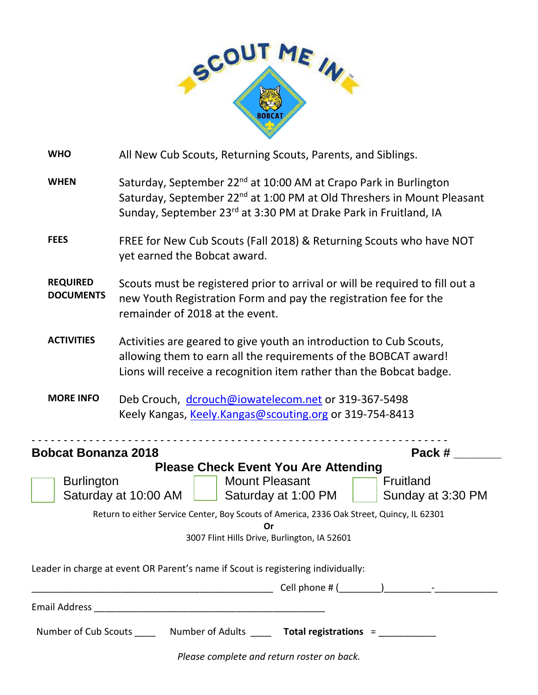

| <b>WHO</b>                                                                                                                                                                                                                 | All New Cub Scouts, Returning Scouts, Parents, and Siblings.                                                                                                                                                                                       |  |  |  |  |  |
|----------------------------------------------------------------------------------------------------------------------------------------------------------------------------------------------------------------------------|----------------------------------------------------------------------------------------------------------------------------------------------------------------------------------------------------------------------------------------------------|--|--|--|--|--|
| <b>WHEN</b>                                                                                                                                                                                                                | Saturday, September 22 <sup>nd</sup> at 10:00 AM at Crapo Park in Burlington<br>Saturday, September 22 <sup>nd</sup> at 1:00 PM at Old Threshers in Mount Pleasant<br>Sunday, September 23 <sup>rd</sup> at 3:30 PM at Drake Park in Fruitland, IA |  |  |  |  |  |
| <b>FEES</b>                                                                                                                                                                                                                | FREE for New Cub Scouts (Fall 2018) & Returning Scouts who have NOT<br>yet earned the Bobcat award.                                                                                                                                                |  |  |  |  |  |
| <b>REQUIRED</b><br>Scouts must be registered prior to arrival or will be required to fill out a<br><b>DOCUMENTS</b><br>new Youth Registration Form and pay the registration fee for the<br>remainder of 2018 at the event. |                                                                                                                                                                                                                                                    |  |  |  |  |  |
| <b>ACTIVITIES</b>                                                                                                                                                                                                          | Activities are geared to give youth an introduction to Cub Scouts,<br>allowing them to earn all the requirements of the BOBCAT award!<br>Lions will receive a recognition item rather than the Bobcat badge.                                       |  |  |  |  |  |
| <b>MORE INFO</b><br>Deb Crouch, dcrouch@iowatelecom.net or 319-367-5498<br>Keely Kangas, Keely.Kangas@scouting.org or 319-754-8413                                                                                         |                                                                                                                                                                                                                                                    |  |  |  |  |  |
| Pack#<br><b>Bobcat Bonanza 2018</b>                                                                                                                                                                                        |                                                                                                                                                                                                                                                    |  |  |  |  |  |
| <b>Please Check Event You Are Attending</b>                                                                                                                                                                                |                                                                                                                                                                                                                                                    |  |  |  |  |  |
| <b>Mount Pleasant</b><br><b>Burlington</b><br>Fruitland<br>Saturday at 10:00 AM<br>Saturday at 1:00 PM<br>Sunday at 3:30 PM                                                                                                |                                                                                                                                                                                                                                                    |  |  |  |  |  |
| Return to either Service Center, Boy Scouts of America, 2336 Oak Street, Quincy, IL 62301                                                                                                                                  |                                                                                                                                                                                                                                                    |  |  |  |  |  |
| Or                                                                                                                                                                                                                         |                                                                                                                                                                                                                                                    |  |  |  |  |  |
| 3007 Flint Hills Drive, Burlington, IA 52601                                                                                                                                                                               |                                                                                                                                                                                                                                                    |  |  |  |  |  |
| Leader in charge at event OR Parent's name if Scout is registering individually:                                                                                                                                           |                                                                                                                                                                                                                                                    |  |  |  |  |  |
|                                                                                                                                                                                                                            |                                                                                                                                                                                                                                                    |  |  |  |  |  |
|                                                                                                                                                                                                                            |                                                                                                                                                                                                                                                    |  |  |  |  |  |
| Number of Cub Scouts _______ Number of Adults ______ Total registrations = ____________                                                                                                                                    |                                                                                                                                                                                                                                                    |  |  |  |  |  |

*Please complete and return roster on back.*